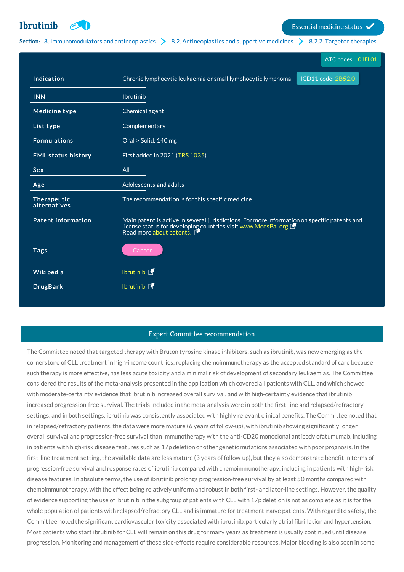**[Ibrutinib](http://list.essentialmeds.org/medicines/618) Example 1** Essential medicine status **V** 

## Section: 8. [Immunomodulators](http://list.essentialmeds.org/?section=374) and antineoplastics  $\geq 8.2$ . [Antineoplastics](http://list.essentialmeds.org/?section=376) and supportive medicines  $\geq 8.2.2$ . Targeted [therapies](http://list.essentialmeds.org/?section=481)

|                             | ATC codes: L01EL01                                                                                                                                                                        |
|-----------------------------|-------------------------------------------------------------------------------------------------------------------------------------------------------------------------------------------|
| Indication                  | Chronic lymphocytic leukaemia or small lymphocytic lymphoma<br>ICD11 code: 2B52.0                                                                                                         |
| <b>INN</b>                  | Ibrutinib                                                                                                                                                                                 |
| <b>Medicine type</b>        | Chemical agent                                                                                                                                                                            |
| List type                   | Complementary                                                                                                                                                                             |
| <b>Formulations</b>         | Oral > Solid: 140 mg                                                                                                                                                                      |
| <b>EML status history</b>   | First added in 2021 (TRS 1035)                                                                                                                                                            |
| <b>Sex</b>                  | All                                                                                                                                                                                       |
| Age                         | Adolescents and adults                                                                                                                                                                    |
| Therapeutic<br>alternatives | The recommendation is for this specific medicine                                                                                                                                          |
| <b>Patent information</b>   | Main patent is active in several jurisdictions. For more information on specific patents and<br>license status for developing countries visit www.MedsPal.org<br>Read more about patents. |
| <b>Tags</b>                 | Cancer                                                                                                                                                                                    |
| Wikipedia                   | <b>Ibrutinib 图</b>                                                                                                                                                                        |
| <b>DrugBank</b>             | Ibrutinib <b>T</b>                                                                                                                                                                        |
|                             |                                                                                                                                                                                           |

## Expert Committee recommendation

The Committee noted that targeted therapy with Bruton tyrosine kinase inhibitors, such as ibrutinib, was now emerging as the cornerstone of CLL treatment in high-income countries, replacing chemoimmunotherapy as the accepted standard of care because such therapy is more effective, has less acute toxicity and a minimal risk of development of secondary leukaemias. The Committee considered the results of the meta-analysis presented in the application which covered all patients with CLL, and which showed with moderate-certainty evidence that ibrutinib increased overall survival, and with high-certainty evidence that ibrutinib increased progression-free survival. The trials included in the meta-analysis were in both the first-line and relapsed/refractory settings, and in both settings, ibrutinib was consistently associated with highly relevant clinical benefits. The Committee noted that in relapsed/refractory patients, the data were more mature (6 years of follow-up), with ibrutinib showing significantly longer overall survival and progression-free survival than immunotherapy with the anti-CD20 monoclonal antibody ofatumumab, including in patients with high-risk disease features such as 17p deletion or other genetic mutations associated with poor prognosis. In the first-line treatment setting, the available data are less mature (3 years of follow-up), but they also demonstrate benefit in terms of progression-free survival and response rates of ibrutinib compared with chemoimmunotherapy, including in patients with high-risk disease features. In absolute terms, the use of ibrutinib prolongs progression-free survival by at least 50 months compared with chemoimmunotherapy, with the effect being relatively uniform and robust in both first- and later-line settings. However, the quality of evidence supporting the use of ibrutinib in the subgroup of patients with CLL with 17p deletion is not as complete as it is for the whole population of patients with relapsed/refractory CLL and is immature for treatment-naïve patients. With regard to safety, the Committee noted the significant cardiovascular toxicity associated with ibrutinib, particularly atrial fibrillation and hypertension. Most patients who start ibrutinib for CLL will remain on this drug for many years as treatment is usually continued until disease progression. Monitoring and management of these side-effects require considerable resources. Major bleeding is also seen in some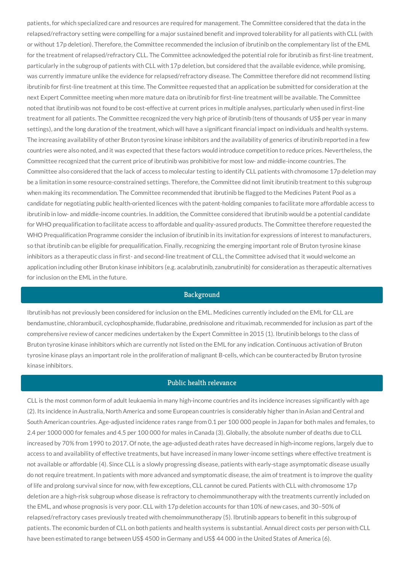patients, for which specialized care and resources are required for management. The Committee considered that the data in the relapsed/refractory setting were compelling for a major sustained benefit and improved tolerability for all patients with CLL (with or without 17p deletion). Therefore, the Committee recommended the inclusion of ibrutinib on the complementary list of the EML for the treatment of relapsed/refractory CLL. The Committee acknowledged the potential role for ibrutinib as first-line treatment, particularly in the subgroup of patients with CLL with 17p deletion, but considered that the available evidence, while promising, was currently immature unlike the evidence for relapsed/refractory disease. The Committee therefore did not recommend listing ibrutinib for first-line treatment at this time. The Committee requested that an application be submitted for consideration at the next Expert Committee meeting when more mature data on ibrutinib for first-line treatment will be available. The Committee noted that ibrutinib was not found to be cost-effective at current prices in multiple analyses, particularly when used in first-line treatment for all patients. The Committee recognized the very high price of ibrutinib (tens of thousands of US\$ per year in many settings), and the long duration of the treatment, which will have a significant financial impact on individuals and health systems. The increasing availability of other Bruton tyrosine kinase inhibitors and the availability of generics of ibrutinib reported in a few countries were also noted, and it was expected that these factors would introduce competition to reduce prices. Nevertheless, the Committee recognized that the current price of ibrutinib was prohibitive for most low- and middle-income countries. The Committee also considered that the lack of access to molecular testing to identify CLL patients with chromosome 17p deletion may be a limitation in some resource-constrained settings. Therefore, the Committee did not limit ibrutinib treatment to this subgroup when making its recommendation. The Committee recommended that ibrutinib be flagged to the Medicines Patent Pool as a candidate for negotiating public health-oriented licences with the patent-holding companies to facilitate more affordable access to ibrutinib in low- and middle-income countries. In addition, the Committee considered that ibrutinib would be a potential candidate for WHO prequalification to facilitate access to affordable and quality-assured products. The Committee therefore requested the WHO Prequalification Programme consider the inclusion of ibrutinib in its invitation for expressions of interest to manufacturers, so that ibrutinib can be eligible for prequalification. Finally, recognizing the emerging important role of Bruton tyrosine kinase inhibitors as a therapeutic class in first- and second-line treatment of CLL, the Committee advised that it would welcome an application including other Bruton kinase inhibitors (e.g. acalabrutinib, zanubrutinib) for consideration as therapeutic alternatives for inclusion on the EML in the future.

## Background

Ibrutinib has not previously been considered for inclusion on the EML. Medicines currently included on the EML for CLL are bendamustine, chlorambucil, cyclophosphamide, fludarabine, prednisolone and rituximab, recommended for inclusion as part of the comprehensive review of cancer medicines undertaken by the Expert Committee in 2015 (1). Ibrutinib belongs to the class of Bruton tyrosine kinase inhibitors which are currently not listed on the EML for any indication. Continuous activation of Bruton tyrosine kinase plays an important role in the proliferation of malignant B-cells, which can be counteracted by Bruton tyrosine kinase inhibitors.

# Public health relevance

CLL is the most common form of adult leukaemia in many high-income countries and its incidence increases significantly with age (2). Its incidence in Australia, North America and some European countries is considerably higher than in Asian and Central and South American countries. Age-adjusted incidence rates range from 0.1 per 100 000 people in Japan for both males and females, to 2.4 per 1000 000 for females and 4.5 per 100 000 for males in Canada (3). Globally, the absolute number of deaths due to CLL increased by 70% from 1990 to 2017. Of note, the age-adjusted death rates have decreased in high-income regions, largely due to access to and availability of effective treatments, but have increased in many lower-income settings where effective treatment is not available or affordable (4). Since CLL is a slowly progressing disease, patients with early-stage asymptomatic disease usually do not require treatment. In patients with more advanced and symptomatic disease, the aim of treatment is to improve the quality of life and prolong survival since for now, with few exceptions, CLL cannot be cured. Patients with CLL with chromosome 17p deletion are a high-risk subgroup whose disease is refractory to chemoimmunotherapy with the treatments currently included on the EML, and whose prognosis is very poor. CLL with 17p deletion accounts for than 10% of new cases, and 30–50% of relapsed/refractory cases previously treated with chemoimmunotherapy (5). Ibrutinib appears to benefit in this subgroup of patients. The economic burden of CLL on both patients and health systems is substantial. Annual direct costs per person with CLL have been estimated to range between US\$ 4500 in Germany and US\$ 44 000 in the United States of America (6).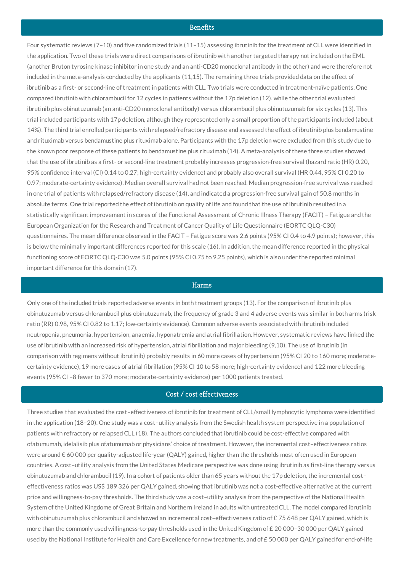### **Benefits**

Four systematic reviews (7–10) and five randomized trials (11–15) assessing ibrutinib for the treatment of CLL were identified in the application. Two of these trials were direct comparisons of ibrutinib with another targeted therapy not included on the EML (another Bruton tyrosine kinase inhibitor in one study and an anti-CD20 monoclonal antibody in the other) and were therefore not included in the meta-analysis conducted by the applicants (11,15). The remaining three trials provided data on the effect of ibrutinib as a first- or second-line of treatment in patients with CLL. Two trials were conducted in treatment-naïve patients. One compared ibrutinib with chlorambucil for 12 cycles in patients without the 17p deletion (12), while the other trial evaluated ibrutinib plus obinutuzumab (an anti-CD20 monoclonal antibody) versus chlorambucil plus obinutuzumab for six cycles (13). This trial included participants with 17p deletion, although they represented only a small proportion of the participants included (about 14%). The third trial enrolled participants with relapsed/refractory disease and assessed the effect of ibrutinib plus bendamustine and rituximab versus bendamustine plus rituximab alone. Participants with the 17p deletion were excluded from this study due to the known poor response of these patients to bendamustine plus rituximab (14). A meta-analysis of these three studies showed that the use of ibrutinib as a first- or second-line treatment probably increases progression-free survival (hazard ratio (HR) 0.20, 95% confidence interval (CI) 0.14 to 0.27; high-certainty evidence) and probably also overall survival (HR 0.44, 95% CI 0.20 to 0.97; moderate-certainty evidence). Median overall survival had not been reached. Median progression-free survival was reached in one trial of patients with relapsed/refractory disease (14), and indicated a progression-free survival gain of 50.8 months in absolute terms. One trial reported the effect of ibrutinib on quality of life and found that the use of ibrutinib resulted in a statistically significant improvement in scores of the Functional Assessment of Chronic Illness Therapy (FACIT) – Fatigue and the European Organization for the Research and Treatment of Cancer Quality of Life Questionnaire (EORTC QLQ-C30) questionnaires. The mean difference observed in the FACIT – Fatigue score was 2.6 points (95% CI 0.4 to 4.9 points); however, this is below the minimally important differences reported for this scale (16). In addition, the mean difference reported in the physical functioning score of EORTC QLQ-C30 was 5.0 points (95% CI 0.75 to 9.25 points), which is also under the reported minimal important difference for this domain (17).

#### Harms

Only one of the included trials reported adverse events in both treatment groups (13). For the comparison of ibrutinib plus obinutuzumab versus chlorambucil plus obinutuzumab, the frequency of grade 3 and 4 adverse events was similar in both arms (risk ratio (RR) 0.98, 95% CI 0.82 to 1.17; low-certainty evidence). Common adverse events associated with ibrutinib included neutropenia, pneumonia, hypertension, anaemia, hyponatremia and atrial fibrillation. However, systematic reviews have linked the use of ibrutinib with an increased risk of hypertension, atrial fibrillation and major bleeding (9,10). The use of ibrutinib (in comparison with regimens without ibrutinib) probably results in 60 more cases of hypertension (95% CI 20 to 160 more; moderatecertainty evidence), 19 more cases of atrial fibrillation (95% CI 10 to 58 more; high-certainty evidence) and 122 more bleeding events (95% CI –8 fewer to 370 more; moderate-certainty evidence) per 1000 patients treated.

### Cost / cost effectiveness

Three studies that evaluated the cost–effectiveness of ibrutinib for treatment of CLL/small lymphocytic lymphoma were identified in the application (18–20). One study was a cost–utility analysis from the Swedish health system perspective in a population of patients with refractory or relapsed CLL (18). The authors concluded that ibrutinib could be cost-effective compared with ofatumumab, idelalisib plus ofatumumab or physicians' choice of treatment. However, the incremental cost–effectiveness ratios were around € 60 000 per quality-adjusted life-year (QALY) gained, higher than the thresholds most often used in European countries. A cost–utility analysis from the United States Medicare perspective was done using ibrutinib as first-line therapy versus obinutuzumab and chlorambucil (19). In a cohort of patients older than 65 years without the 17p deletion, the incremental cost– effectiveness ratios was US\$ 189 326 per QALY gained, showing that ibrutinib was not a cost-effective alternative at the current price and willingness-to-pay thresholds. The third study was a cost–utility analysis from the perspective of the National Health System of the United Kingdome of Great Britain and Northern Ireland in adults with untreated CLL. The model compared ibrutinib with obinutuzumab plus chlorambucil and showed an incremental cost–effectiveness ratio of £ 75 648 per QALY gained, which is more than the commonly used willingness-to-pay thresholds used in the United Kingdom of £ 20 000–30 000 per QALY gained used by the National Institute for Health and Care Excellence for new treatments, and of £ 50 000 per QALY gained for end-of-life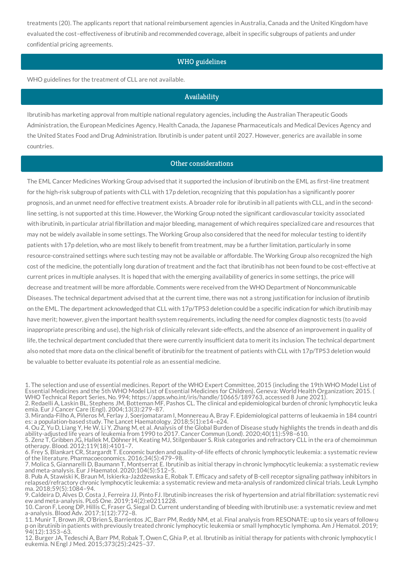treatments (20). The applicants report that national reimbursement agencies in Australia, Canada and the United Kingdom have evaluated the cost–effectiveness of ibrutinib and recommended coverage, albeit in specific subgroups of patients and under confidential pricing agreements.

## WHO guidelines

WHO guidelines for the treatment of CLL are not available.

## Availability

Ibrutinib has marketing approval from multiple national regulatory agencies, including the Australian Therapeutic Goods Administration, the European Medicines Agency, Health Canada, the Japanese Pharmaceuticals and Medical Devices Agency and the United States Food and Drug Administration. Ibrutinib is under patent until 2027. However, generics are available in some countries.

### Other considerations

The EML Cancer Medicines Working Group advised that it supported the inclusion of ibrutinib on the EML as first-line treatment for the high-risk subgroup of patients with CLL with 17p deletion, recognizing that this population has a significantly poorer prognosis, and an unmet need for effective treatment exists. A broader role for ibrutinib in all patients with CLL, and in the secondline setting, is not supported at this time. However, the Working Group noted the significant cardiovascular toxicity associated with ibrutinib, in particular atrial fibrillation and major bleeding, management of which requires specialized care and resources that may not be widely available in some settings. The Working Group also considered that the need for molecular testing to identify patients with 17p deletion, who are most likely to benefit from treatment, may be a further limitation, particularly in some resource-constrained settings where such testing may not be available or affordable. The Working Group also recognized the high cost of the medicine, the potentially long duration of treatment and the fact that ibrutinib has not been found to be cost-effective at current prices in multiple analyses. It is hoped that with the emerging availability of generics in some settings, the price will decrease and treatment will be more affordable. Comments were received from the WHO Department of Noncommunicable Diseases. The technical department advised that at the current time, there was not a strong justification for inclusion of ibrutinib on the EML. The department acknowledged that CLL with 17p/TP53 deletion could be a specific indication for which ibrutinib may have merit; however, given the important health system requirements, including the need for complex diagnostic tests (to avoid inappropriate prescribing and use), the high risk of clinically relevant side-effects, and the absence of an improvement in quality of life, the technical department concluded that there were currently insufficient data to merit its inclusion. The technical department also noted that more data on the clinical benefit of ibrutinib for the treatment of patients with CLL with 17p/TP53 deletion would be valuable to better evaluate its potential role as an essential medicine.

4. Ou Z, Yu D, Liang Y, He W, Li Y, Zhang M, et al. Analysis of the Global Burden of Disease study highlights the trends in death and dis ability-adjusted life years of leukemia from 1990 to 2017. Cancer Commun (Lond). 2020;40(11):598–610.

<sup>1.</sup> The selection and use of essential medicines. Report of the WHO Expert Committee, 2015 (including the 19th WHO Model List of Essential Medicines and the 5th WHO Model List of Essential Medicines for Children). Geneva: World Health Organization; 2015. ( WHO Technical Report Series, No. 994; https://apps.who.int/iris/handle/10665/189763, accessed 8 June 2021).

<sup>2.</sup> Redaelli A, Laskin BL, Stephens JM, Botteman MF, Pashos CL. The clinical and epidemiological burden of chronic lymphocytic leuka emia. Eur J Cancer Care (Engl). 2004;13(3):279–87.

<sup>3.</sup> Miranda-Filho A, Piñeros M, Ferlay J, Soerjomataram I, Monnereau A, Bray F. Epidemiological patterns of leukaemia in 184 countri es: a population-based study. The Lancet Haematology. 2018;5(1):e14–e24.

<sup>5.</sup> Zenz T, Gribben JG, Hallek M, Döhner H, Keating MJ, Stilgenbauer S. Risk categories and refractory CLL in the era of chemoimmun otherapy. Blood. 2012;119(18):4101–7.

<sup>6.</sup> Frey S, Blankart CR, Stargardt T. Economic burden and quality-of-life effects of chronic lymphocytic leukemia: a systematic review of the literature. Pharmacoeconomics. 2016;34(5):479–98.

<sup>7.</sup> Molica S, Giannarelli D, Baumann T, Montserrat E. Ibrutinib as initial therapy in chronic lymphocytic leukemia: a systematic review and meta-analysis. Eur J Haematol. 2020;104(5):512–5.

<sup>8.</sup> Puła A, Stawiski K, Braun M, Iskierka-Jażdżewska E, Robak T. Efficacy and safety of B-cell receptor signaling pathway inhibitors in relapsed/refractory chronic lymphocytic leukemia: a systematic review and meta-analysis of randomized clinical trials. Leuk Lympho ma. 2018;59(5):1084–94.

<sup>9.</sup> Caldeira D, Alves D, Costa J, Ferreira JJ, Pinto FJ. Ibrutinib increases the risk of hypertension and atrial fibrillation: systematic revi ew and meta-analysis. PLoS One. 2019;14(2):e0211228.

<sup>10.</sup> Caron F, Leong DP, Hillis C, Fraser G, Siegal D. Current understanding of bleeding with ibrutinib use: a systematic review and met a-analysis. Blood Adv. 2017;1(12):772–8.

<sup>11.</sup> Munir T, Brown JR, O'Brien S, Barrientos JC, Barr PM, Reddy NM, et al. Final analysis from RESONATE: up to six years of follow-u p on ibrutinib in patients with previously treated chronic lymphocytic leukemia or small lymphocytic lymphoma. Am J Hematol. 2019; 94(12):1353–63.

<sup>12.</sup> Burger JA, Tedeschi A, Barr PM, Robak T, Owen C, Ghia P, et al. Ibrutinib as initial therapy for patients with chronic lymphocytic l eukemia. N Engl J Med. 2015;373(25):2425–37.